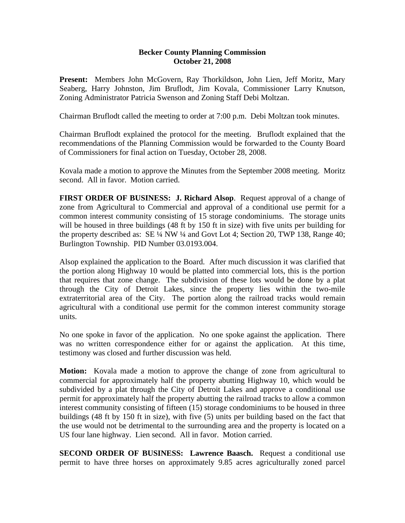## **Becker County Planning Commission October 21, 2008**

**Present:** Members John McGovern, Ray Thorkildson, John Lien, Jeff Moritz, Mary Seaberg, Harry Johnston, Jim Bruflodt, Jim Kovala, Commissioner Larry Knutson, Zoning Administrator Patricia Swenson and Zoning Staff Debi Moltzan.

Chairman Bruflodt called the meeting to order at 7:00 p.m. Debi Moltzan took minutes.

Chairman Bruflodt explained the protocol for the meeting. Bruflodt explained that the recommendations of the Planning Commission would be forwarded to the County Board of Commissioners for final action on Tuesday, October 28, 2008.

Kovala made a motion to approve the Minutes from the September 2008 meeting. Moritz second. All in favor. Motion carried.

**FIRST ORDER OF BUSINESS: J. Richard Alsop**. Request approval of a change of zone from Agricultural to Commercial and approval of a conditional use permit for a common interest community consisting of 15 storage condominiums. The storage units will be housed in three buildings (48 ft by 150 ft in size) with five units per building for the property described as: SE ¼ NW ¼ and Govt Lot 4; Section 20, TWP 138, Range 40; Burlington Township. PID Number 03.0193.004.

Alsop explained the application to the Board. After much discussion it was clarified that the portion along Highway 10 would be platted into commercial lots, this is the portion that requires that zone change. The subdivision of these lots would be done by a plat through the City of Detroit Lakes, since the property lies within the two-mile extraterritorial area of the City. The portion along the railroad tracks would remain agricultural with a conditional use permit for the common interest community storage units.

No one spoke in favor of the application. No one spoke against the application. There was no written correspondence either for or against the application. At this time, testimony was closed and further discussion was held.

**Motion:** Kovala made a motion to approve the change of zone from agricultural to commercial for approximately half the property abutting Highway 10, which would be subdivided by a plat through the City of Detroit Lakes and approve a conditional use permit for approximately half the property abutting the railroad tracks to allow a common interest community consisting of fifteen (15) storage condominiums to be housed in three buildings (48 ft by 150 ft in size), with five (5) units per building based on the fact that the use would not be detrimental to the surrounding area and the property is located on a US four lane highway. Lien second. All in favor. Motion carried.

**SECOND ORDER OF BUSINESS: Lawrence Baasch.** Request a conditional use permit to have three horses on approximately 9.85 acres agriculturally zoned parcel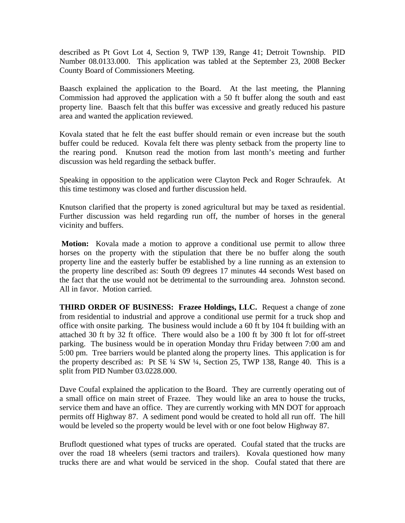described as Pt Govt Lot 4, Section 9, TWP 139, Range 41; Detroit Township. PID Number 08.0133.000. This application was tabled at the September 23, 2008 Becker County Board of Commissioners Meeting.

Baasch explained the application to the Board. At the last meeting, the Planning Commission had approved the application with a 50 ft buffer along the south and east property line. Baasch felt that this buffer was excessive and greatly reduced his pasture area and wanted the application reviewed.

Kovala stated that he felt the east buffer should remain or even increase but the south buffer could be reduced. Kovala felt there was plenty setback from the property line to the rearing pond. Knutson read the motion from last month's meeting and further discussion was held regarding the setback buffer.

Speaking in opposition to the application were Clayton Peck and Roger Schraufek. At this time testimony was closed and further discussion held.

Knutson clarified that the property is zoned agricultural but may be taxed as residential. Further discussion was held regarding run off, the number of horses in the general vicinity and buffers.

 **Motion:** Kovala made a motion to approve a conditional use permit to allow three horses on the property with the stipulation that there be no buffer along the south property line and the easterly buffer be established by a line running as an extension to the property line described as: South 09 degrees 17 minutes 44 seconds West based on the fact that the use would not be detrimental to the surrounding area. Johnston second. All in favor. Motion carried.

**THIRD ORDER OF BUSINESS: Frazee Holdings, LLC.** Request a change of zone from residential to industrial and approve a conditional use permit for a truck shop and office with onsite parking. The business would include a 60 ft by 104 ft building with an attached 30 ft by 32 ft office. There would also be a 100 ft by 300 ft lot for off-street parking. The business would be in operation Monday thru Friday between 7:00 am and 5:00 pm. Tree barriers would be planted along the property lines. This application is for the property described as: Pt SE ¼ SW ¼, Section 25, TWP 138, Range 40. This is a split from PID Number 03.0228.000.

Dave Coufal explained the application to the Board. They are currently operating out of a small office on main street of Frazee. They would like an area to house the trucks, service them and have an office. They are currently working with MN DOT for approach permits off Highway 87. A sediment pond would be created to hold all run off. The hill would be leveled so the property would be level with or one foot below Highway 87.

Bruflodt questioned what types of trucks are operated. Coufal stated that the trucks are over the road 18 wheelers (semi tractors and trailers). Kovala questioned how many trucks there are and what would be serviced in the shop. Coufal stated that there are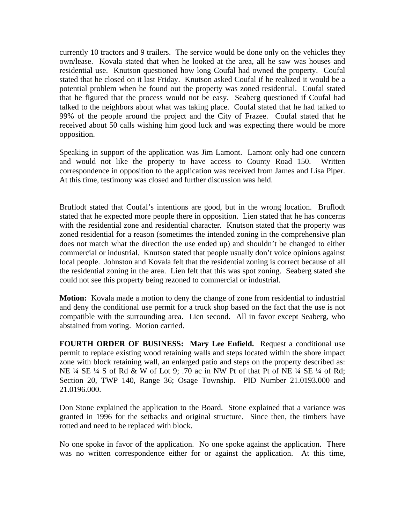currently 10 tractors and 9 trailers. The service would be done only on the vehicles they own/lease. Kovala stated that when he looked at the area, all he saw was houses and residential use. Knutson questioned how long Coufal had owned the property. Coufal stated that he closed on it last Friday. Knutson asked Coufal if he realized it would be a potential problem when he found out the property was zoned residential. Coufal stated that he figured that the process would not be easy. Seaberg questioned if Coufal had talked to the neighbors about what was taking place. Coufal stated that he had talked to 99% of the people around the project and the City of Frazee. Coufal stated that he received about 50 calls wishing him good luck and was expecting there would be more opposition.

Speaking in support of the application was Jim Lamont. Lamont only had one concern and would not like the property to have access to County Road 150. Written correspondence in opposition to the application was received from James and Lisa Piper. At this time, testimony was closed and further discussion was held.

Bruflodt stated that Coufal's intentions are good, but in the wrong location. Bruflodt stated that he expected more people there in opposition. Lien stated that he has concerns with the residential zone and residential character. Knutson stated that the property was zoned residential for a reason (sometimes the intended zoning in the comprehensive plan does not match what the direction the use ended up) and shouldn't be changed to either commercial or industrial. Knutson stated that people usually don't voice opinions against local people. Johnston and Kovala felt that the residential zoning is correct because of all the residential zoning in the area. Lien felt that this was spot zoning. Seaberg stated she could not see this property being rezoned to commercial or industrial.

**Motion:** Kovala made a motion to deny the change of zone from residential to industrial and deny the conditional use permit for a truck shop based on the fact that the use is not compatible with the surrounding area. Lien second. All in favor except Seaberg, who abstained from voting. Motion carried.

**FOURTH ORDER OF BUSINESS: Mary Lee Enfield.** Request a conditional use permit to replace existing wood retaining walls and steps located within the shore impact zone with block retaining wall, an enlarged patio and steps on the property described as: NE ¼ SE ¼ S of Rd & W of Lot 9; .70 ac in NW Pt of that Pt of NE ¼ SE ¼ of Rd; Section 20, TWP 140, Range 36; Osage Township. PID Number 21.0193.000 and 21.0196.000.

Don Stone explained the application to the Board. Stone explained that a variance was granted in 1996 for the setbacks and original structure. Since then, the timbers have rotted and need to be replaced with block.

No one spoke in favor of the application. No one spoke against the application. There was no written correspondence either for or against the application. At this time,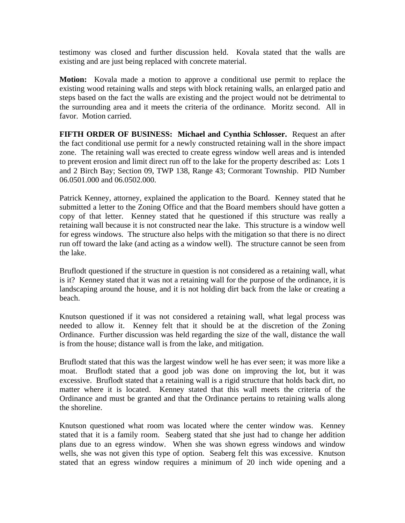testimony was closed and further discussion held. Kovala stated that the walls are existing and are just being replaced with concrete material.

**Motion:** Kovala made a motion to approve a conditional use permit to replace the existing wood retaining walls and steps with block retaining walls, an enlarged patio and steps based on the fact the walls are existing and the project would not be detrimental to the surrounding area and it meets the criteria of the ordinance. Moritz second. All in favor. Motion carried.

**FIFTH ORDER OF BUSINESS: Michael and Cynthia Schlosser.** Request an after the fact conditional use permit for a newly constructed retaining wall in the shore impact zone. The retaining wall was erected to create egress window well areas and is intended to prevent erosion and limit direct run off to the lake for the property described as: Lots 1 and 2 Birch Bay; Section 09, TWP 138, Range 43; Cormorant Township. PID Number 06.0501.000 and 06.0502.000.

Patrick Kenney, attorney, explained the application to the Board. Kenney stated that he submitted a letter to the Zoning Office and that the Board members should have gotten a copy of that letter. Kenney stated that he questioned if this structure was really a retaining wall because it is not constructed near the lake. This structure is a window well for egress windows. The structure also helps with the mitigation so that there is no direct run off toward the lake (and acting as a window well). The structure cannot be seen from the lake.

Bruflodt questioned if the structure in question is not considered as a retaining wall, what is it? Kenney stated that it was not a retaining wall for the purpose of the ordinance, it is landscaping around the house, and it is not holding dirt back from the lake or creating a beach.

Knutson questioned if it was not considered a retaining wall, what legal process was needed to allow it. Kenney felt that it should be at the discretion of the Zoning Ordinance. Further discussion was held regarding the size of the wall, distance the wall is from the house; distance wall is from the lake, and mitigation.

Bruflodt stated that this was the largest window well he has ever seen; it was more like a moat. Bruflodt stated that a good job was done on improving the lot, but it was excessive. Bruflodt stated that a retaining wall is a rigid structure that holds back dirt, no matter where it is located. Kenney stated that this wall meets the criteria of the Ordinance and must be granted and that the Ordinance pertains to retaining walls along the shoreline.

Knutson questioned what room was located where the center window was. Kenney stated that it is a family room. Seaberg stated that she just had to change her addition plans due to an egress window. When she was shown egress windows and window wells, she was not given this type of option. Seaberg felt this was excessive. Knutson stated that an egress window requires a minimum of 20 inch wide opening and a